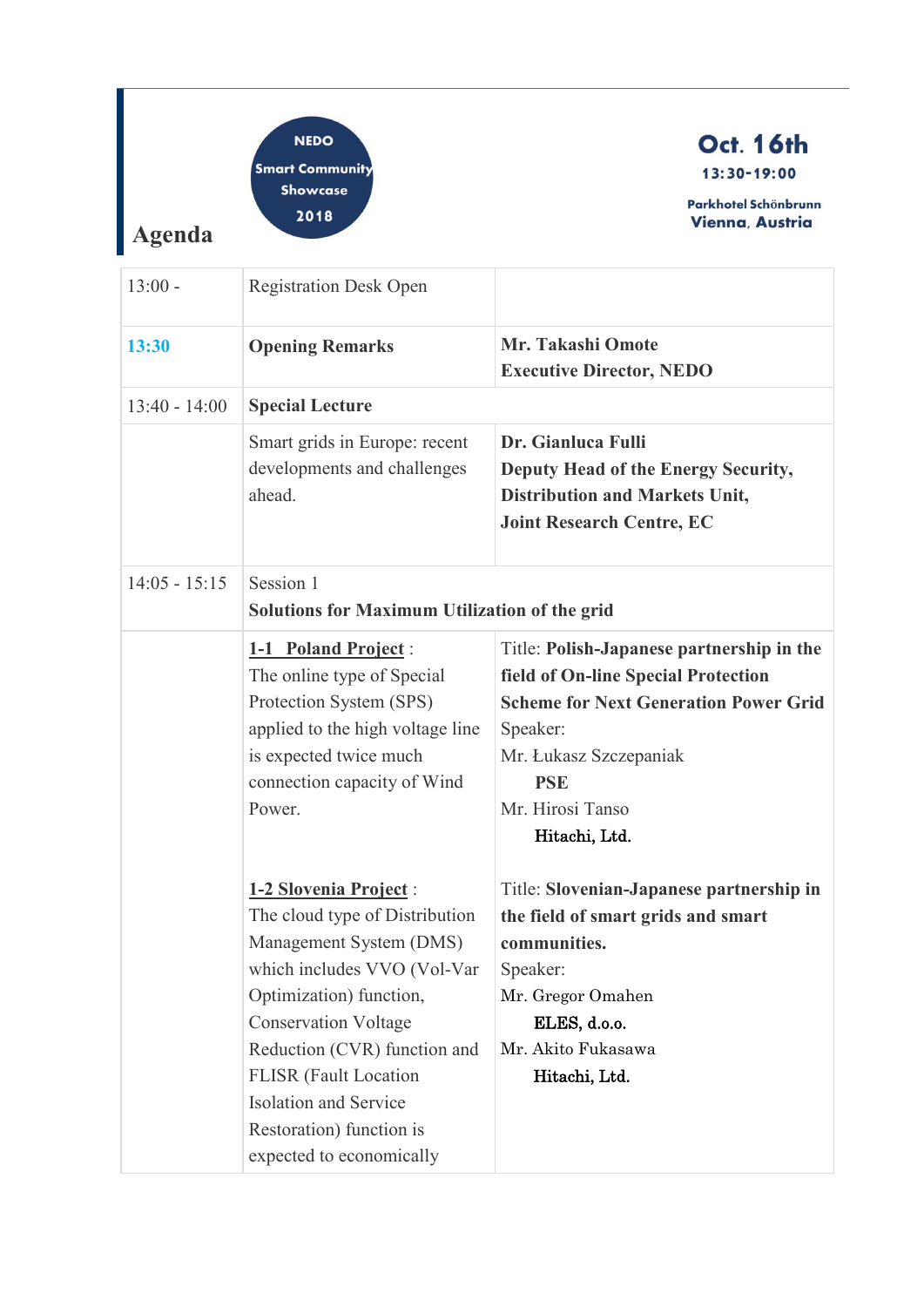| <b>Agenda</b>   | <b>NEDO</b><br><b>Smart Community</b><br><b>Showcase</b><br>2018                                                                                                                                                                                                                                                                                                                                                                        | <b>Oct. 16th</b><br>13:30-19:00<br>Parkhotel Schönbrunn<br><b>Vienna, Austria</b>                                                                                                                                                                                                                                                                                            |
|-----------------|-----------------------------------------------------------------------------------------------------------------------------------------------------------------------------------------------------------------------------------------------------------------------------------------------------------------------------------------------------------------------------------------------------------------------------------------|------------------------------------------------------------------------------------------------------------------------------------------------------------------------------------------------------------------------------------------------------------------------------------------------------------------------------------------------------------------------------|
| $13:00 -$       | <b>Registration Desk Open</b>                                                                                                                                                                                                                                                                                                                                                                                                           |                                                                                                                                                                                                                                                                                                                                                                              |
| 13:30           | <b>Opening Remarks</b>                                                                                                                                                                                                                                                                                                                                                                                                                  | <b>Mr. Takashi Omote</b><br><b>Executive Director, NEDO</b>                                                                                                                                                                                                                                                                                                                  |
| $13:40 - 14:00$ | <b>Special Lecture</b>                                                                                                                                                                                                                                                                                                                                                                                                                  |                                                                                                                                                                                                                                                                                                                                                                              |
|                 | Smart grids in Europe: recent<br>developments and challenges<br>ahead.                                                                                                                                                                                                                                                                                                                                                                  | Dr. Gianluca Fulli<br>Deputy Head of the Energy Security,<br><b>Distribution and Markets Unit,</b><br><b>Joint Research Centre, EC</b>                                                                                                                                                                                                                                       |
| $14:05 - 15:15$ | Session 1<br><b>Solutions for Maximum Utilization of the grid</b><br>1-1 Poland Project:<br>The online type of Special<br>Protection System (SPS)<br>applied to the high voltage line<br>is expected twice much<br>connection capacity of Wind<br>Power.<br>1-2 Slovenia Project:<br>The cloud type of Distribution<br>Management System (DMS)<br>which includes VVO (Vol-Var<br>Optimization) function,<br><b>Conservation Voltage</b> | Title: Polish-Japanese partnership in the<br>field of On-line Special Protection<br><b>Scheme for Next Generation Power Grid</b><br>Speaker:<br>Mr. Łukasz Szczepaniak<br><b>PSE</b><br>Mr. Hirosi Tanso<br>Hitachi, Ltd.<br>Title: Slovenian-Japanese partnership in<br>the field of smart grids and smart<br>communities.<br>Speaker:<br>Mr. Gregor Omahen<br>ELES, d.o.o. |
|                 | Reduction (CVR) function and<br><b>FLISR</b> (Fault Location<br><b>Isolation and Service</b><br>Restoration) function is<br>expected to economically                                                                                                                                                                                                                                                                                    | Mr. Akito Fukasawa<br>Hitachi, Ltd.                                                                                                                                                                                                                                                                                                                                          |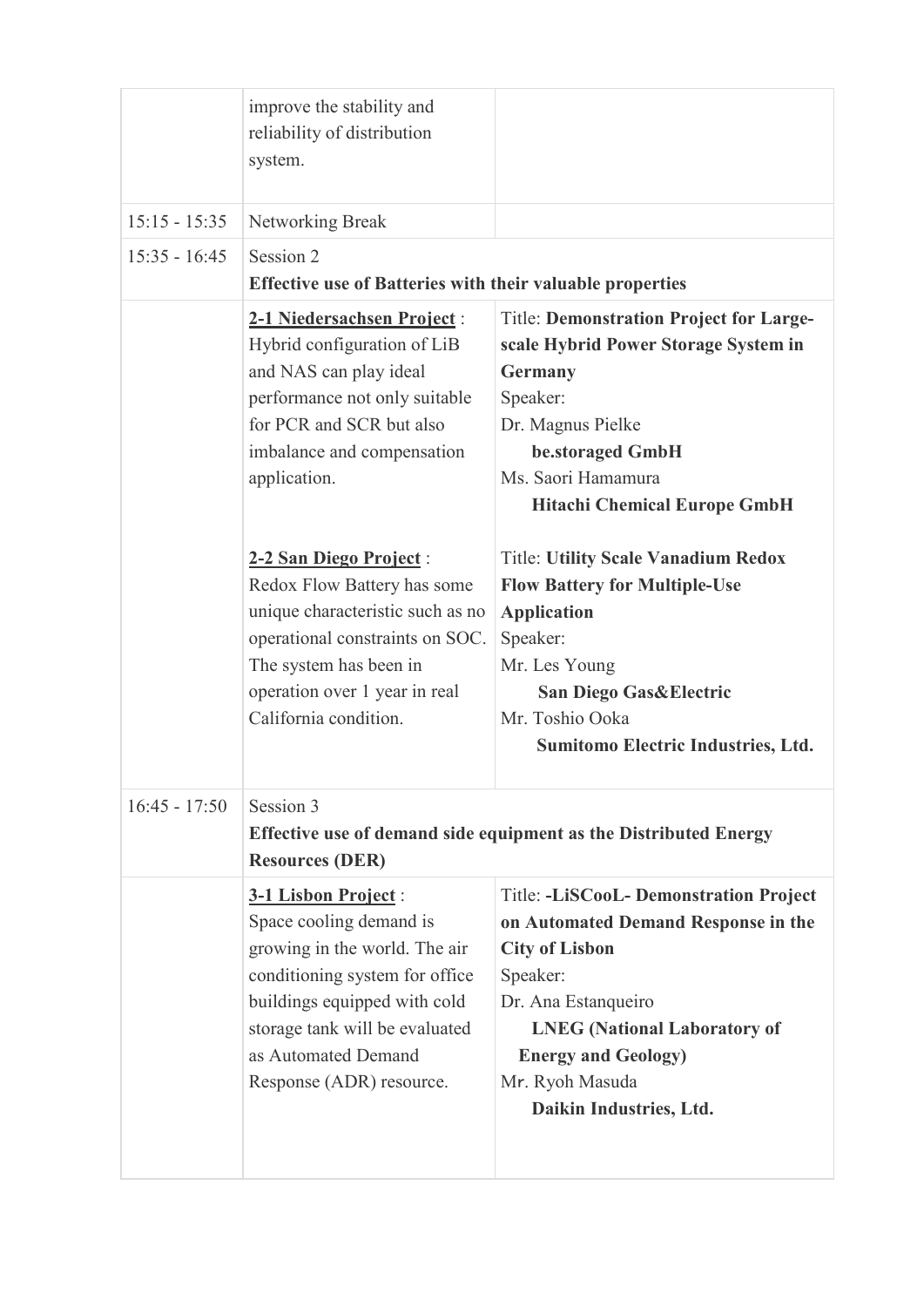|                 | improve the stability and<br>reliability of distribution<br>system.                                                                                                                                                                    |                                                                                                                                                                                                                                                              |  |
|-----------------|----------------------------------------------------------------------------------------------------------------------------------------------------------------------------------------------------------------------------------------|--------------------------------------------------------------------------------------------------------------------------------------------------------------------------------------------------------------------------------------------------------------|--|
| $15:15 - 15:35$ | Networking Break                                                                                                                                                                                                                       |                                                                                                                                                                                                                                                              |  |
| $15:35 - 16:45$ | Session 2<br><b>Effective use of Batteries with their valuable properties</b>                                                                                                                                                          |                                                                                                                                                                                                                                                              |  |
|                 | 2-1 Niedersachsen Project:<br>Hybrid configuration of LiB<br>and NAS can play ideal<br>performance not only suitable<br>for PCR and SCR but also<br>imbalance and compensation<br>application.                                         | <b>Title: Demonstration Project for Large-</b><br>scale Hybrid Power Storage System in<br>Germany<br>Speaker:<br>Dr. Magnus Pielke<br>be.storaged GmbH<br>Ms. Saori Hamamura<br><b>Hitachi Chemical Europe GmbH</b>                                          |  |
|                 | 2-2 San Diego Project:<br>Redox Flow Battery has some<br>unique characteristic such as no<br>operational constraints on SOC.<br>The system has been in<br>operation over 1 year in real<br>California condition.                       | <b>Title: Utility Scale Vanadium Redox</b><br><b>Flow Battery for Multiple-Use</b><br><b>Application</b><br>Speaker:<br>Mr. Les Young<br><b>San Diego Gas&amp;Electric</b><br>Mr. Toshio Ooka<br>Sumitomo Electric Industries, Ltd.                          |  |
| $16:45 - 17:50$ | Session 3<br><b>Effective use of demand side equipment as the Distributed Energy</b><br><b>Resources (DER)</b>                                                                                                                         |                                                                                                                                                                                                                                                              |  |
|                 | 3-1 Lisbon Project:<br>Space cooling demand is<br>growing in the world. The air<br>conditioning system for office<br>buildings equipped with cold<br>storage tank will be evaluated<br>as Automated Demand<br>Response (ADR) resource. | Title: -LiSCooL- Demonstration Project<br>on Automated Demand Response in the<br><b>City of Lisbon</b><br>Speaker:<br>Dr. Ana Estanqueiro<br><b>LNEG</b> (National Laboratory of<br><b>Energy and Geology)</b><br>Mr. Ryoh Masuda<br>Daikin Industries, Ltd. |  |